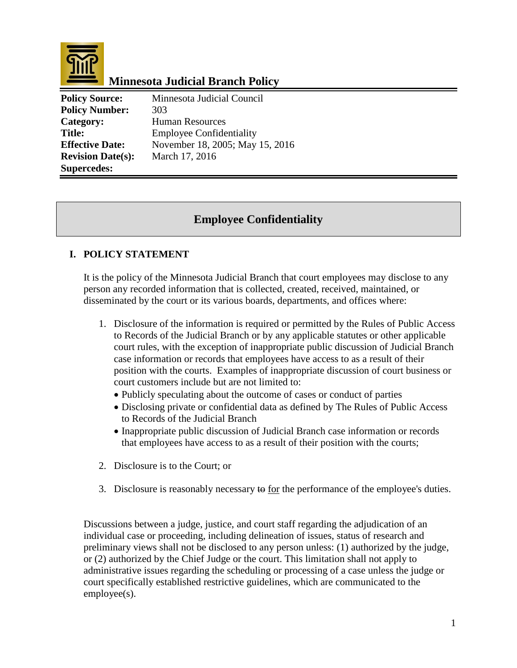

# **Minnesota Judicial Branch Policy**

| <b>Policy Source:</b>    | Minnesota Judicial Council      |
|--------------------------|---------------------------------|
| <b>Policy Number:</b>    | 303                             |
| Category:                | <b>Human Resources</b>          |
| <b>Title:</b>            | <b>Employee Confidentiality</b> |
| <b>Effective Date:</b>   | November 18, 2005; May 15, 2016 |
| <b>Revision Date(s):</b> | March 17, 2016                  |
| <b>Supercedes:</b>       |                                 |

### **Employee Confidentiality**

#### **I. POLICY STATEMENT**

It is the policy of the Minnesota Judicial Branch that court employees may disclose to any person any recorded information that is collected, created, received, maintained, or disseminated by the court or its various boards, departments, and offices where:

- 1. Disclosure of the information is required or permitted by the Rules of Public Access to Records of the Judicial Branch or by any applicable statutes or other applicable court rules, with the exception of inappropriate public discussion of Judicial Branch case information or records that employees have access to as a result of their position with the courts. Examples of inappropriate discussion of court business or court customers include but are not limited to:
	- Publicly speculating about the outcome of cases or conduct of parties
	- Disclosing private or confidential data as defined by The Rules of Public Access to Records of the Judicial Branch
	- Inappropriate public discussion of Judicial Branch case information or records that employees have access to as a result of their position with the courts;
- 2. Disclosure is to the Court; or
- 3. Disclosure is reasonably necessary to for the performance of the employee's duties.

Discussions between a judge, justice, and court staff regarding the adjudication of an individual case or proceeding, including delineation of issues, status of research and preliminary views shall not be disclosed to any person unless: (1) authorized by the judge, or (2) authorized by the Chief Judge or the court. This limitation shall not apply to administrative issues regarding the scheduling or processing of a case unless the judge or court specifically established restrictive guidelines, which are communicated to the employee(s).